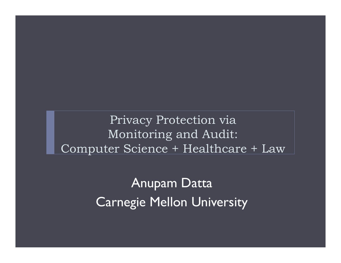Privacy Protection via Monitoring and Audit: Computer Science + Healthcare + Law

> Anupam Datta Carnegie Mellon University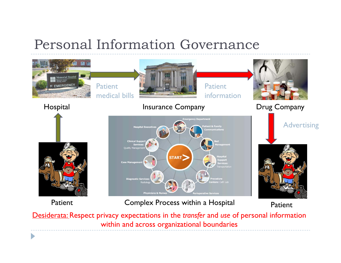### Personal Information Governance



Desiderata: Respect privacy expectations in the *transfer* and *use* of personal information within and across organizational boundaries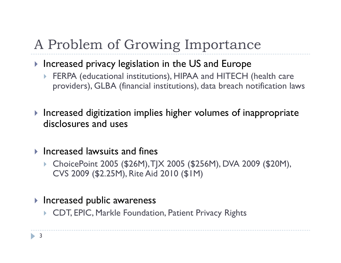## A Problem of Growing Importance

- $\blacktriangleright$  Increased privacy legislation in the US and Europe
	- FERPA (educational institutions), HIPAA and HITECH (health care providers), GLBA (financial institutions), data breach notification laws
- $\blacktriangleright$  Increased digitization implies higher volumes of inappropriate disclosures and uses
- $\blacktriangleright$  Increased lawsuits and fines
	- ChoicePoint 2005 (\$26M), TJX 2005 (\$256M), DVA 2009 (\$20M), CVS 2009 (\$2.25M), Rite Aid 2010 (\$1M)
- $\blacktriangleright$  Increased public awareness
	- CDT, EPIC, Markle Foundation, Patient Privacy Rights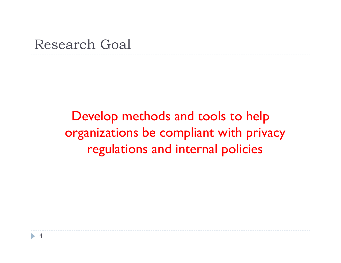### Research Goal

Develop methods and tools to help organizations be compliant with privacy regulations and internal policies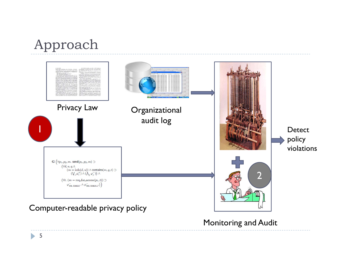### Approach



Monitoring and Audit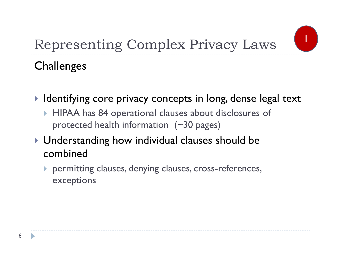

## Representing Complex Privacy Laws

### **Challenges**

- $\blacktriangleright$  Identifying core privacy concepts in long, dense legal text
	- HIPAA has 84 operational clauses about disclosures of protected health information (~30 pages)
- Understanding how individual clauses should be combined
	- permitting clauses, denying clauses, cross-references, exceptions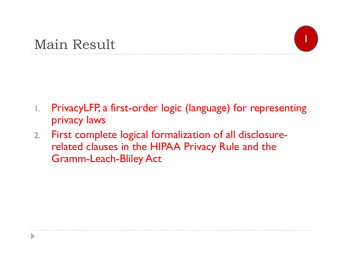D

- 1. PrivacyLFP, a first-order logic (language) for representing privacy laws
- 2. First complete logical formalization of all disclosurerelated clauses in the HIPAA Privacy Rule and the Gramm-Leach-Bliley Act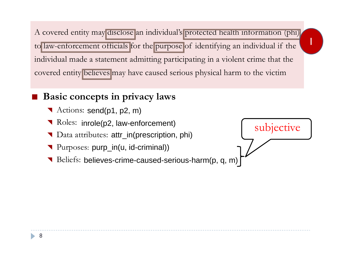A covered entity may disclose an individual's protected health information (phi) to law-enforcement officials for the purpose of identifying an individual if the individual made a statement admitting participating in a violent crime that the covered entity believes may have caused serious physical harm to the victim

#### $\mathbb{R}^n$ **Basic concepts in privacy laws**

- Actions: send(p1, p2, m)
- Roles: inrole(p2, law-enforcement)
- Data attributes: attr\_in(prescription, phi)
- **T** Purposes: purp\_in(u, id-criminal))
- Beliefs: believes-crime-caused-serious-harm(p, q, m)

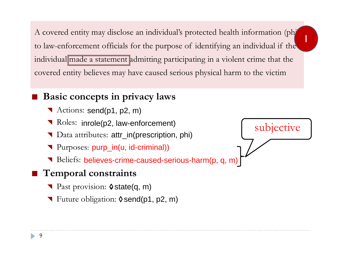A covered entity may disclose an individual's protected health information (phi) to law-enforcement officials for the purpose of identifying an individual if the individual made a statement admitting participating in a violent crime that the covered entity believes may have caused serious physical harm to the victim

#### $\mathbb{R}^n$ **Basic concepts in privacy laws**

- Actions: send(p1, p2, m)
- Roles: inrole(p2, law-enforcement) <br>
Roles: inrole(p2, law-enforcement) subjective
- Data attributes: attr\_in(prescription, phi)
- **T** Purposes: purp\_in(u, id-criminal))
- Beliefs: believes-crime-caused-serious-harm(p, q, m)

### **Temporal constraints**

- Past provision:  $\theta$  state(q, m)
- ▼ Future obligation: 0 send(p1, p2, m)

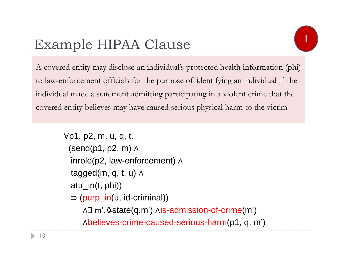## Example HIPAA Clause

A covered entity may disclose an individual's protected health information (phi) to law-enforcement officials for the purpose of identifying an individual if the individual made a statement admitting participating in a violent crime that the covered entity believes may have caused serious physical harm to the victim

```
∀p1, p2, m, u, q, t. 
 (send(p1, p2, m) 
∧
  inrole(p2, law-enforcement) 
∧
  tagged(m, q, t, u) 
∧
 attr_in(t, phi))
  ⊃
(purp_in(u, id-criminal)) 
     ∧
 m'. state(q,m') 
∧is-admission-of-crime(m')
     ∧believes-crime-caused-serious-harm(p1, q, m')
```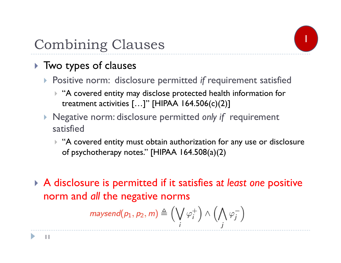

## Combining Clauses

### ▶ Two types of clauses

- Positive norm: disclosure permitted *if* requirement satisfied
	- $\blacktriangleright$  "A covered entity may disclose protected health information for treatment activities  $[...]$ " [HIPAA 164.506(c)(2)]
- Negative norm: disclosure permitted *only if* requirement satisfied
	- $\blacktriangleright$  "A covered entity must obtain authorization for any use or disclosure of psychotherapy notes." [HIPAA 164.508(a)(2)
- A disclosure is permitted if it satisfies a*t least one* positive norm and *all* the negative norms

$$
\mathsf{maxsend}(p_1, p_2, m) \triangleq \left(\bigvee_i \varphi_i^+\right) \wedge \left(\bigwedge_j \varphi_j^-\right)
$$

11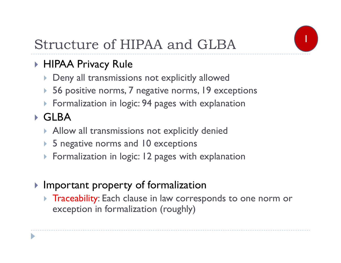

## Structure of HIPAA and GLBA

### HIPAA Privacy Rule

- Deny all transmissions not explicitly allowed
- ▶ 56 positive norms, 7 negative norms, 19 exceptions
- Formalization in logic: 94 pages with explanation

### GLBA

- $\blacktriangleright$  Allow all transmissions not explicitly denied
- ▶ 5 negative norms and 10 exceptions
- **Formalization in logic: 12 pages with explanation**
- $\blacktriangleright$  Important property of formalization
	- $\blacktriangleright$  Traceability: Each clause in law corresponds to one norm or exception in formalization (roughly)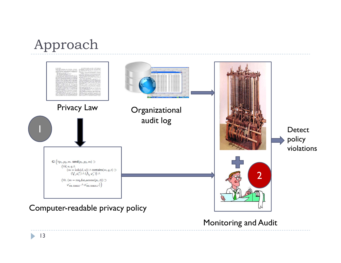### Approach



Monitoring and Audit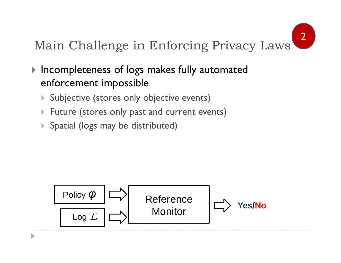

## Main Challenge in Enforcing Privacy Laws

- **Incompleteness of logs makes fully automated** enforcement impossible
	- Subjective (stores only objective events)
	- $\blacktriangleright$ Future (stores only past and current events)
	- Spatial (logs may be distributed)

D

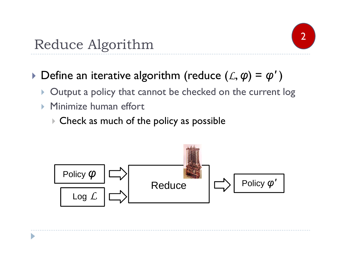

### Reduce Algorithm

### $\blacktriangleright$  Define an iterative algorithm (reduce  $(\mathcal{L}, \boldsymbol{\varphi}) = \boldsymbol{\varphi}'$  )

- **Output a policy that cannot be checked on the current log**
- $\blacktriangleright$ Minimize human effort

D

 $\blacktriangleright$  Check as much of the policy as possible

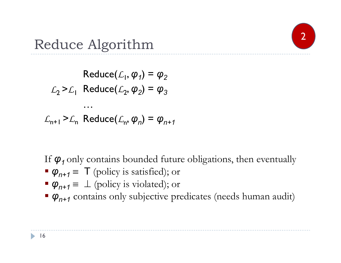

### Reduce Algorithm

 $\mathsf{Reduce}(\mathcal{L}_1, \bm{\varphi}_1) = \bm{\varphi}_2$  $\mathcal{L}_2$  >  $\mathcal{L}_1$  Reduce $(\mathcal{L}_2, \bm{\varphi}_2)$  =  $\bm{\varphi}_3$ … $\mathcal{L}_{n+1}$  >  $\mathcal{L}_n$  Reduce $(\mathcal{L}_n, \varphi_n) = \varphi_{n+1}$ 

If *φ1* only contains bounded future obligations, then eventually

- $\varphi_{n+1} \equiv \top$  (policy is satisfied); or
- $\varphi_{n+1} \equiv \perp$  (policy is violated); or
- *φn+1* contains only subjective predicates (needs human audit)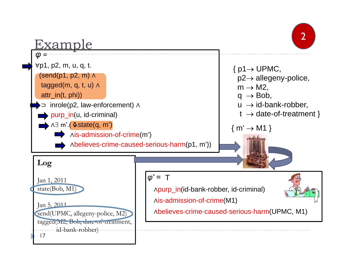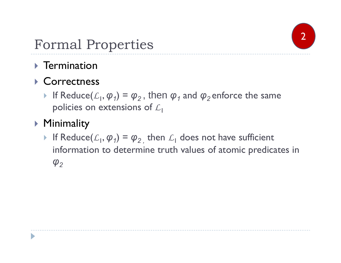

## Formal Properties 2

- $\triangleright$  Termination
- ▶ Correctness
	- If Reduce( $\mathcal{L}_1$ ,  $\boldsymbol{\varphi}_1$ ) =  $\boldsymbol{\varphi}_2$ , then  $\boldsymbol{\varphi}_1$  and  $\boldsymbol{\varphi}_2$  enforce the same policies on extensions of *L*1
- Minimality

D

If Reduce $(L_1, \varphi_1) = \varphi_2$ , then  $L_1$  does not have sufficient information to determine truth values of atomic predicates in *φ2*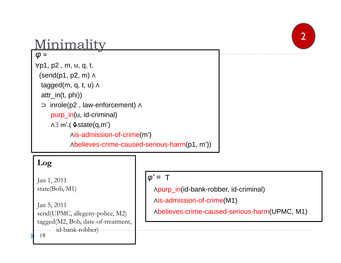## 2

### Minimality

*φ <sup>=</sup>* <sup>∀</sup>p1, p2 , m, u, q, t. (send(p1, p2, m) <sup>∧</sup> tagged(m, q, t, u) <sup>∧</sup> attr\_in(t, phi)) ⊃ inrole(p2 , law-enforcement) <sup>∧</sup> purp\_in(u, id-criminal) ∧∃ m'.( ≎state(q,m') <sup>∧</sup>is-admission-of-crime(m') <sup>∧</sup>believes-crime-caused-serious-harm(p1, m'))

#### **Log**

Jan 1, 2011 state(Bob, M1)

Jan 5, 2011 send(UPMC, allegeny-police, M2) tagged(M2, Bob, date-of-treatment, id-bank-robber) 19

### *φ' =* T

<sup>∧</sup>purp\_in(id-bank-robber, id-criminal)

<sup>∧</sup>is-admission-of-crime(M1)

<sup>∧</sup>believes-crime-caused-serious-harm(UPMC, M1)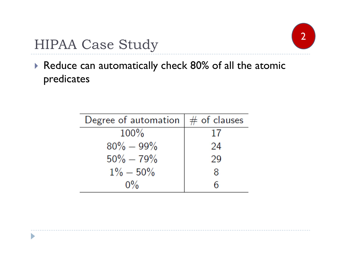

## HIPAA Case Study 2

D

 Reduce can automatically check 80% of all the atomic predicates

| Degree of automation | $#$ of clauses |  |  |  |
|----------------------|----------------|--|--|--|
| $100\%$              | 17             |  |  |  |
| $80\% - 99\%$        | 24             |  |  |  |
| $50\% - 79\%$        | 29             |  |  |  |
| $1\% - 50\%$         | 8              |  |  |  |
| $0\%$                |                |  |  |  |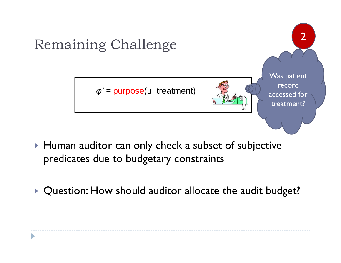

- $\blacktriangleright$  Human auditor can only check a subset of subjective predicates due to budgetary constraints
- **Question: How should auditor allocate the audit budget?**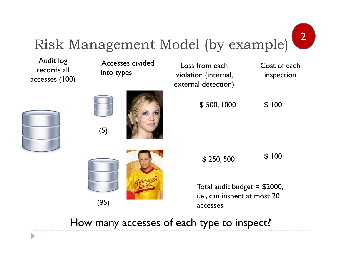

Risk Management Model (by example)



How many accesses of each type to inspect?

D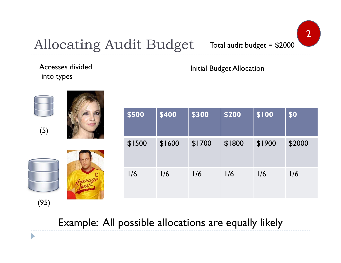

### Allocating Audit Budget Total audit budget  $= $2000$

### Accesses dividedinto types

 $\blacktriangleright$ 

### Initial Budget Allocation

| (5)  | \$500  | \$400  | \$300  | \$200  | \$100  | \$0    |
|------|--------|--------|--------|--------|--------|--------|
|      | \$1500 | \$1600 | \$1700 | \$1800 | \$1900 | \$2000 |
|      | 1/6    | 1/6    | 1/6    | 1/6    | 1/6    | 1/6    |
| (95) |        |        |        |        |        |        |

Example: All possible allocations are equally likely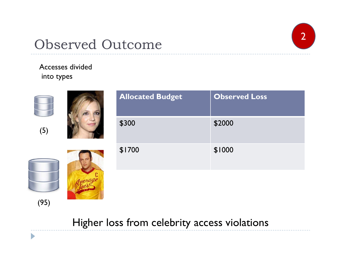### Observed Outcome

# 2

### Accesses dividedinto types

 $\blacktriangleright$ 

|      | <b>Allocated Budget</b> | <b>Observed Loss</b> |
|------|-------------------------|----------------------|
| (5)  | \$300                   | \$2000               |
|      | \$1700                  | \$1000               |
|      |                         |                      |
| (95) |                         |                      |

Higher loss from celebrity access violations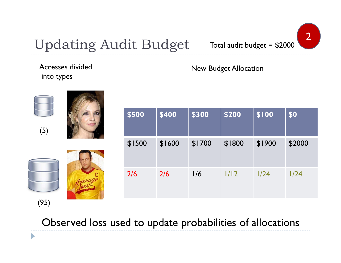

## Updating Audit Budget

Accesses divided

into types

 $\blacktriangleright$ 

### New Budget Allocation

| (5)  |  | \$500  | \$400  | \$300  | \$200  | \$100  | \$0    |
|------|--|--------|--------|--------|--------|--------|--------|
|      |  | \$1500 | \$1600 | \$1700 | \$1800 | \$1900 | \$2000 |
|      |  | 2/6    | 2/6    | 1/6    | 1/12   | 1/24   | 1/24   |
| (95) |  |        |        |        |        |        |        |

Observed loss used to update probabilities of allocations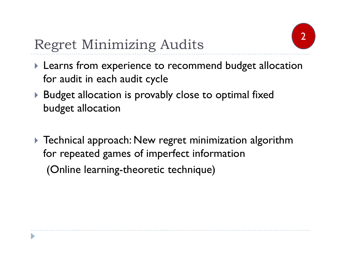

## Regret Minimizing Audits

- **Learns from experience to recommend budget allocation** for audit in each audit cycle
- Budget allocation is provably close to optimal fixed budget allocation
- $\blacktriangleright$  Technical approach: New regret minimization algorithm for repeated games of imperfect information (Online learning-theoretic technique)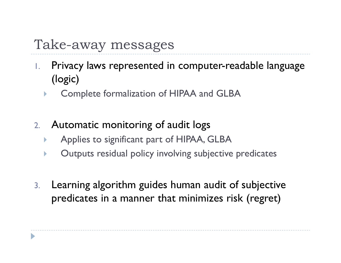### Take-away messages

- 1. Privacy laws represented in computer-readable language (logic)
	- $\blacktriangleright$ Complete formalization of HIPAA and GLBA
- 2. Automatic monitoring of audit logs
	- $\blacktriangleright$ Applies to significant part of HIPAA, GLBA
	- $\blacktriangleright$ Outputs residual policy involving subjective predicates
- 3. Learning algorithm guides human audit of subjective predicates in a manner that minimizes risk (regret)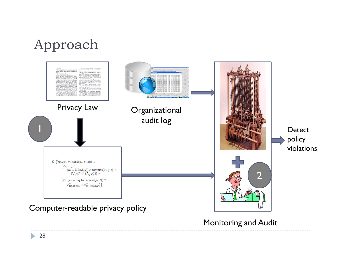### Approach



Monitoring and Audit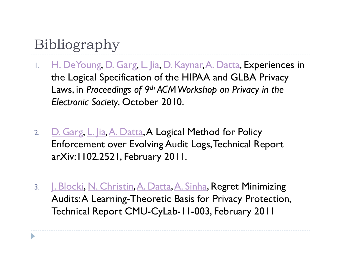## Bibliography

- 1.H. DeYoung, D. Garg, L. Jia, D. Kaynar, A. Datta, Experiences in the Logical Specification of the HIPAA and GLBA Privacy Laws, in *Proceedings of 9th ACM Workshop on Privacy in the Electronic Society*, October 2010.
- 2.D. Garg, L. Jia, A. Datta, A Logical Method for Policy Enforcement over Evolving Audit Logs, Technical Report arXiv:1102.2521, February 2011.
- 3. J<u>. Blocki, N. Christin, A. Datta, A. Sinha</u>, **Regret Minimizing** Audits: A Learning-Theoretic Basis for Privacy Protection, Technical Report CMU-CyLab-11-003, February 2011